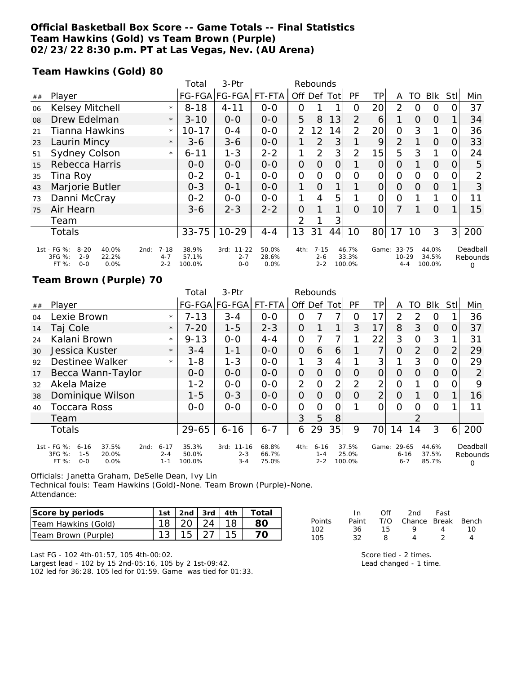### **Official Basketball Box Score -- Game Totals -- Final Statistics Team Hawkins (Gold) vs Team Brown (Purple) 02/23/22 8:30 p.m. PT at Las Vegas, Nev. (AU Arena)**

**Team Hawkins (Gold) 80**

|    |                                                                                            |                                        | Total                    | 3-Ptr                                   | Rebounds                  |                |                                |             |                          |                |                                     |          |                          |          |                           |
|----|--------------------------------------------------------------------------------------------|----------------------------------------|--------------------------|-----------------------------------------|---------------------------|----------------|--------------------------------|-------------|--------------------------|----------------|-------------------------------------|----------|--------------------------|----------|---------------------------|
| ## | Player                                                                                     |                                        |                          | FG-FGA FG-FGA                           | FT-FTA                    | Off            |                                | Def Tot     | PF                       | TР             | A                                   | TO       | Blk                      | Stll     | Min                       |
| 06 | Kelsey Mitchell                                                                            | $\star$                                | $8 - 18$                 | $4 - 11$                                | $0-0$                     | 0              |                                |             | O                        | 20             | 2                                   | 0        | $\Omega$                 |          | 37                        |
| 08 | Drew Edelman                                                                               | $\star$                                | $3 - 10$                 | $O-O$                                   | $0-0$                     | 5              | 8                              | 13          | 2                        | 6              |                                     | $\Omega$ | $\Omega$                 |          | 34                        |
| 21 | <b>Tianna Hawkins</b>                                                                      | $\star$                                | $10 - 17$                | $O - 4$                                 | $0 - 0$                   | $\mathcal{P}$  | 12                             | 14          | 2                        | 20             | $\overline{O}$                      | 3        |                          | O        | 36                        |
| 23 | Laurin Mincy                                                                               | $\star$                                | $3-6$                    | $3 - 6$                                 | $0 - 0$                   | 1              | 2                              | 3           |                          | 9              | $\overline{2}$                      |          | $\Omega$                 | $\Omega$ | 33                        |
| 51 | Sydney Colson                                                                              | $\star$                                | $6 - 11$                 | $1 - 3$                                 | $2 - 2$                   | 1              | $\overline{2}$                 | 3           | 2                        | 15             | 5                                   | 3        |                          |          | 24                        |
| 15 | Rebecca Harris                                                                             |                                        | $O-O$                    | $0-0$                                   | $0 - 0$                   | $\overline{O}$ | $\Omega$                       | 0           |                          | $\overline{O}$ | $\overline{O}$                      |          | $\Omega$                 | 0        | 5                         |
| 35 | Tina Roy                                                                                   |                                        | $0 - 2$                  | $O - 1$                                 | $0-0$                     | O              | O                              | Ο           | Ω                        | 0              | 0                                   | 0        | $\Omega$                 |          | 2                         |
| 43 | Marjorie Butler                                                                            |                                        | $0 - 3$                  | $O - 1$                                 | $0 - 0$                   | 1              | $\Omega$                       | $\mathbf 1$ |                          | $\overline{O}$ | $\Omega$                            | $\Omega$ | $\overline{O}$           |          | 3                         |
| 73 | Danni McCray                                                                               |                                        | $0 - 2$                  | $0 - 0$                                 | $0 - 0$                   | 1              | 4                              | 5           |                          | O              | 0                                   |          |                          |          | 11                        |
| 75 | Air Hearn                                                                                  |                                        | $3 - 6$                  | $2 - 3$                                 | $2 - 2$                   | 0              |                                | 1           | $\Omega$                 | 10             |                                     |          | $\Omega$                 |          | 15                        |
|    | Team                                                                                       |                                        |                          |                                         |                           | 2              |                                | 3           |                          |                |                                     |          |                          |          |                           |
|    | <b>Totals</b>                                                                              |                                        | $33 - 75$                | $10 - 29$                               | $4 - 4$                   | 13             | 31                             | 44          | 10                       | 80             | 17                                  | 10       | 3                        | 31       | 200                       |
|    | 1st - FG %:<br>$8 - 20$<br>40.0%<br>3FG %:<br>$2 - 9$<br>22.2%<br>FT %:<br>$O - O$<br>0.0% | $7 - 18$<br>2nd:<br>$4 - 7$<br>$2 - 2$ | 38.9%<br>57.1%<br>100.0% | $11 - 22$<br>3rd:<br>$2 - 7$<br>$0 - 0$ | 50.0%<br>28.6%<br>$0.0\%$ | 4th:           | $7 - 15$<br>$2 - 6$<br>$2 - 2$ |             | 46.7%<br>33.3%<br>100.0% |                | Game: 33-75<br>$10 - 29$<br>$4 - 4$ |          | 44.0%<br>34.5%<br>100.0% |          | Deadball<br>Rebounds<br>0 |

#### **Team Brown (Purple) 70**

|                |                                                                                                |                                | Total                    | $3-$ Ptr                         | Rebounds                |                |                                |                |                          |                |                              |                |                         |                |                                  |
|----------------|------------------------------------------------------------------------------------------------|--------------------------------|--------------------------|----------------------------------|-------------------------|----------------|--------------------------------|----------------|--------------------------|----------------|------------------------------|----------------|-------------------------|----------------|----------------------------------|
| ##             | Player                                                                                         |                                |                          | FG-FGA FG-FGA                    | FT-FTA                  | Off            | Def                            | Tot            | <b>PF</b>                | TP.            | A                            | TO             | Blk                     | Stll           | Min                              |
| O <sub>4</sub> | Lexie Brown                                                                                    | $\star$                        | $7 - 13$                 | $3 - 4$                          | $0 - 0$                 | O              |                                |                | Ο                        | 17             | 2                            | 2              | O                       |                | 36                               |
| 14             | Taj Cole                                                                                       | $\star$                        | $7 - 20$                 | $1 - 5$                          | $2 - 3$                 | 0              |                                | 1              | 3                        | 17             | 8                            | 3              | $\Omega$                | 0              | 37                               |
| 24             | Kalani Brown                                                                                   | $\star$                        | $9 - 13$                 | $0 - 0$                          | $4 - 4$                 | $\overline{O}$ |                                | 7              |                          | 22             | 3                            | O              | 3                       |                | 31                               |
| 30             | Jessica Kuster                                                                                 | $\star$                        | $3 - 4$                  | $1 - 1$                          | $0 - 0$                 | $\Omega$       | 6                              | 6              |                          | 7              | O                            | $\overline{2}$ | $\Omega$                | $\overline{2}$ | 29                               |
| 92             | Destinee Walker                                                                                | $\star$                        | $1 - 8$                  | $1 - 3$                          | $0 - 0$                 | 1              | 3                              | 4              |                          | 3              |                              | 3              | $\circ$                 |                | 29                               |
| 17             | Becca Wann-Taylor                                                                              |                                | $0-0$                    | $0 - 0$                          | $0 - 0$                 | 0              | 0                              | 0              | O                        | 0              | O                            | Ω              | $\Omega$                | $\Omega$       | 2                                |
| 32             | Akela Maize                                                                                    |                                | $1 - 2$                  | $0 - 0$                          | $0 - 0$                 | $\overline{2}$ | $\Omega$                       | $\overline{2}$ | 2                        | 2              | O                            |                | O                       | O              | 9                                |
| 38             | Dominique Wilson                                                                               |                                | $1 - 5$                  | $0 - 3$                          | $0 - 0$                 | $\Omega$       | $\Omega$                       | 0              | O                        | $\overline{2}$ | O                            |                | $\Omega$                |                | 16                               |
| 40             | <b>Toccara Ross</b>                                                                            |                                | $0 - 0$                  | $0 - 0$                          | $0 - 0$                 | 0              | 0                              | 0              |                          | Ω              | Ω                            | Ω              | $\Omega$                |                | 11                               |
|                | Team                                                                                           |                                |                          |                                  |                         | 3              | 5                              | 8              |                          |                |                              | 2              |                         |                |                                  |
|                | <b>Totals</b>                                                                                  |                                | 29-65                    | $6 - 16$                         | $6 - 7$                 | 6              | 29                             | 35             | 9                        | 70             | 14                           | 14             | 3                       | 6              | 200                              |
|                | 1st - FG %:<br>6-16<br>37.5%<br>2nd:<br>3FG %:<br>$1 - 5$<br>20.0%<br>0.0%<br>FT %:<br>$O - O$ | $6 - 17$<br>$2 - 4$<br>$1 - 1$ | 35.3%<br>50.0%<br>100.0% | 3rd: 11-16<br>$2 - 3$<br>$3 - 4$ | 68.8%<br>66.7%<br>75.0% | 4th:           | $6 - 16$<br>$1 - 4$<br>$2 - 2$ |                | 37.5%<br>25.0%<br>100.0% | Game:          | 29-65<br>$6 - 16$<br>$6 - 7$ |                | 44.6%<br>37.5%<br>85.7% |                | Deadball<br>Rebounds<br>$\Omega$ |

Officials: Janetta Graham, DeSelle Dean, Ivy Lin

Technical fouls: Team Hawkins (Gold)-None. Team Brown (Purple)-None.

| Attendance: |  |
|-------------|--|
|-------------|--|

| Score by periods    | 1st | $\lfloor 2nd \rfloor$ 3rd $\lfloor 4th \rfloor$ |           | Total |
|---------------------|-----|-------------------------------------------------|-----------|-------|
| Team Hawkins (Gold) |     | $18$   20   24   18                             |           |       |
| Team Brown (Purple) |     |                                                 | $15$   27 |       |

| In.   | Off | 2nd | Fast              |                        |
|-------|-----|-----|-------------------|------------------------|
| Paint |     |     |                   |                        |
| 36.   | 15  | Q   | $\mathbf{\Delta}$ | 1 O                    |
| 32    | я   | Λ   |                   |                        |
|       |     |     |                   | T/O Chance Break Bench |

Last FG - 102 4th-01:57, 105 4th-00:02.

Largest lead - 102 by 15 2nd-05:16, 105 by 2 1st-09:42. 102 led for 36:28. 105 led for 01:59. Game was tied for 01:33. Score tied - 2 times. Lead changed - 1 time.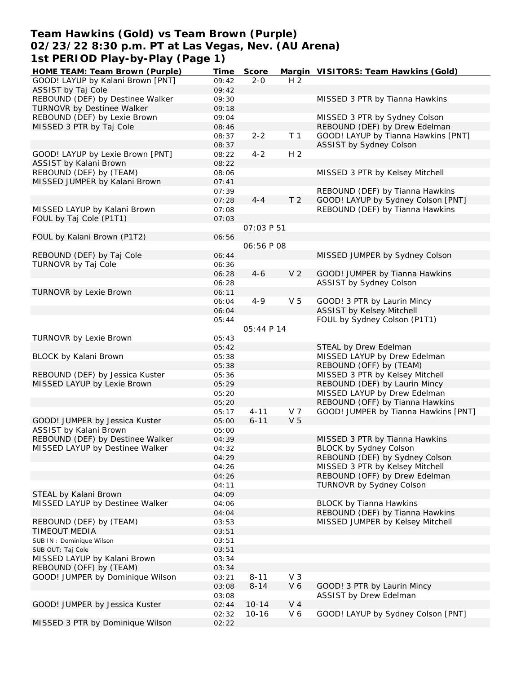### **Team Hawkins (Gold) vs Team Brown (Purple) 02/23/22 8:30 p.m. PT at Las Vegas, Nev. (AU Arena) 1st PERIOD Play-by-Play (Page 1)**

| HOME TEAM: Team Brown (Purple)    | Time  | Score             |                | Margin VISITORS: Team Hawkins (Gold) |
|-----------------------------------|-------|-------------------|----------------|--------------------------------------|
| GOOD! LAYUP by Kalani Brown [PNT] | 09:42 | $2 - 0$           | H <sub>2</sub> |                                      |
| ASSIST by Taj Cole                | 09:42 |                   |                |                                      |
| REBOUND (DEF) by Destinee Walker  | 09:30 |                   |                | MISSED 3 PTR by Tianna Hawkins       |
| TURNOVR by Destinee Walker        | 09:18 |                   |                |                                      |
| REBOUND (DEF) by Lexie Brown      | 09:04 |                   |                | MISSED 3 PTR by Sydney Colson        |
| MISSED 3 PTR by Taj Cole          | 08:46 |                   |                | REBOUND (DEF) by Drew Edelman        |
|                                   | 08:37 | $2 - 2$           | T <sub>1</sub> | GOOD! LAYUP by Tianna Hawkins [PNT]  |
|                                   | 08:37 |                   |                | ASSIST by Sydney Colson              |
| GOOD! LAYUP by Lexie Brown [PNT]  | 08:22 | $4 - 2$           | H <sub>2</sub> |                                      |
| ASSIST by Kalani Brown            | 08:22 |                   |                |                                      |
| REBOUND (DEF) by (TEAM)           | 08:06 |                   |                | MISSED 3 PTR by Kelsey Mitchell      |
|                                   |       |                   |                |                                      |
| MISSED JUMPER by Kalani Brown     | 07:41 |                   |                |                                      |
|                                   | 07:39 |                   |                | REBOUND (DEF) by Tianna Hawkins      |
|                                   | 07:28 | $4 - 4$           | T <sub>2</sub> | GOOD! LAYUP by Sydney Colson [PNT]   |
| MISSED LAYUP by Kalani Brown      | 07:08 |                   |                | REBOUND (DEF) by Tianna Hawkins      |
| FOUL by Taj Cole (P1T1)           | 07:03 |                   |                |                                      |
|                                   |       | <i>OT:03 P 51</i> |                |                                      |
| FOUL by Kalani Brown (P1T2)       | 06:56 |                   |                |                                      |
|                                   |       | 06:56 P 08        |                |                                      |
| REBOUND (DEF) by Taj Cole         | 06:44 |                   |                | MISSED JUMPER by Sydney Colson       |
| TURNOVR by Taj Cole               | 06:36 |                   |                |                                      |
|                                   | 06:28 | $4 - 6$           | V <sub>2</sub> | GOOD! JUMPER by Tianna Hawkins       |
|                                   | 06:28 |                   |                | ASSIST by Sydney Colson              |
| TURNOVR by Lexie Brown            | 06:11 |                   |                |                                      |
|                                   | 06:04 | $4 - 9$           | V <sub>5</sub> | GOOD! 3 PTR by Laurin Mincy          |
|                                   | 06:04 |                   |                | <b>ASSIST by Kelsey Mitchell</b>     |
|                                   | 05:44 |                   |                | FOUL by Sydney Colson (P1T1)         |
|                                   |       | 05:44 P 14        |                |                                      |
|                                   |       |                   |                |                                      |
| TURNOVR by Lexie Brown            | 05:43 |                   |                |                                      |
|                                   | 05:42 |                   |                | STEAL by Drew Edelman                |
| BLOCK by Kalani Brown             | 05:38 |                   |                | MISSED LAYUP by Drew Edelman         |
|                                   | 05:38 |                   |                | REBOUND (OFF) by (TEAM)              |
| REBOUND (DEF) by Jessica Kuster   | 05:36 |                   |                | MISSED 3 PTR by Kelsey Mitchell      |
| MISSED LAYUP by Lexie Brown       | 05:29 |                   |                | REBOUND (DEF) by Laurin Mincy        |
|                                   | 05:20 |                   |                | MISSED LAYUP by Drew Edelman         |
|                                   | 05:20 |                   |                | REBOUND (OFF) by Tianna Hawkins      |
|                                   | 05:17 | $4 - 11$          | V 7            | GOOD! JUMPER by Tianna Hawkins [PNT] |
| GOOD! JUMPER by Jessica Kuster    | 05:00 | $6 - 11$          | V <sub>5</sub> |                                      |
| ASSIST by Kalani Brown            | 05:00 |                   |                |                                      |
| REBOUND (DEF) by Destinee Walker  | 04:39 |                   |                | MISSED 3 PTR by Tianna Hawkins       |
| MISSED LAYUP by Destinee Walker   | 04:32 |                   |                | BLOCK by Sydney Colson               |
|                                   | 04:29 |                   |                | REBOUND (DEF) by Sydney Colson       |
|                                   | 04:26 |                   |                | MISSED 3 PTR by Kelsey Mitchell      |
|                                   | 04:26 |                   |                | REBOUND (OFF) by Drew Edelman        |
|                                   | 04:11 |                   |                | TURNOVR by Sydney Colson             |
| STEAL by Kalani Brown             | 04:09 |                   |                |                                      |
| MISSED LAYUP by Destinee Walker   | 04:06 |                   |                | <b>BLOCK by Tianna Hawkins</b>       |
|                                   | 04:04 |                   |                | REBOUND (DEF) by Tianna Hawkins      |
|                                   |       |                   |                |                                      |
| REBOUND (DEF) by (TEAM)           | 03:53 |                   |                | MISSED JUMPER by Kelsey Mitchell     |
| <b>TIMEOUT MEDIA</b>              | 03:51 |                   |                |                                      |
| SUB IN: Dominique Wilson          | 03:51 |                   |                |                                      |
| SUB OUT: Taj Cole                 | 03:51 |                   |                |                                      |
| MISSED LAYUP by Kalani Brown      | 03:34 |                   |                |                                      |
| REBOUND (OFF) by (TEAM)           | 03:34 |                   |                |                                      |
| GOOD! JUMPER by Dominique Wilson  | 03:21 | $8 - 11$          | $V_3$          |                                      |
|                                   | 03:08 | $8 - 14$          | V6             | GOOD! 3 PTR by Laurin Mincy          |
|                                   | 03:08 |                   |                | ASSIST by Drew Edelman               |
| GOOD! JUMPER by Jessica Kuster    | 02:44 | $10 - 14$         | $V_4$          |                                      |
|                                   | 02:32 | $10 - 16$         | V6             | GOOD! LAYUP by Sydney Colson [PNT]   |
| MISSED 3 PTR by Dominique Wilson  | 02:22 |                   |                |                                      |
|                                   |       |                   |                |                                      |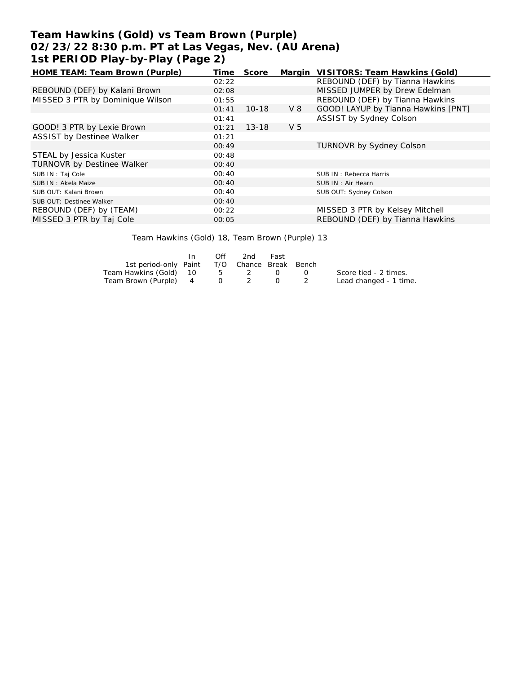# **Team Hawkins (Gold) vs Team Brown (Purple) 02/23/22 8:30 p.m. PT at Las Vegas, Nev. (AU Arena) 1st PERIOD Play-by-Play (Page 2)**

| HOME TEAM: Team Brown (Purple)   | Time  | Score     |                | Margin VISITORS: Team Hawkins (Gold) |
|----------------------------------|-------|-----------|----------------|--------------------------------------|
|                                  | 02:22 |           |                | REBOUND (DEF) by Tianna Hawkins      |
| REBOUND (DEF) by Kalani Brown    | 02:08 |           |                | MISSED JUMPER by Drew Edelman        |
| MISSED 3 PTR by Dominique Wilson | 01:55 |           |                | REBOUND (DEF) by Tianna Hawkins      |
|                                  | 01:41 | $10 - 18$ | V8             | GOOD! LAYUP by Tianna Hawkins [PNT]  |
|                                  | 01:41 |           |                | ASSIST by Sydney Colson              |
| GOOD! 3 PTR by Lexie Brown       | 01:21 | $13 - 18$ | V <sub>5</sub> |                                      |
| <b>ASSIST by Destinee Walker</b> | 01:21 |           |                |                                      |
|                                  | 00:49 |           |                | <b>TURNOVR by Sydney Colson</b>      |
| STEAL by Jessica Kuster          | 00:48 |           |                |                                      |
| TURNOVR by Destinee Walker       | 00:40 |           |                |                                      |
| SUB IN: Taj Cole                 | 00:40 |           |                | SUB IN: Rebecca Harris               |
| SUB IN: Akela Maize              | 00:40 |           |                | SUB IN: Air Hearn                    |
| SUB OUT: Kalani Brown            | 00:40 |           |                | SUB OUT: Sydney Colson               |
| SUB OUT: Destinee Walker         | 00:40 |           |                |                                      |
| REBOUND (DEF) by (TEAM)          | 00:22 |           |                | MISSED 3 PTR by Kelsey Mitchell      |
| MISSED 3 PTR by Taj Cole         | 00:05 |           |                | REBOUND (DEF) by Tianna Hawkins      |
|                                  |       |           |                |                                      |

Team Hawkins (Gold) 18, Team Brown (Purple) 13

|                                              | Off | -2nd | Fast   |           |                        |
|----------------------------------------------|-----|------|--------|-----------|------------------------|
| 1st period-only Paint T/O Chance Break Bench |     |      |        |           |                        |
| Team Hawkins (Gold) 10 5 2 0                 |     |      |        | $\bigcup$ | Score tied - 2 times.  |
| Team Brown (Purple) 4 0 2                    |     |      | $\Box$ |           | Lead changed - 1 time. |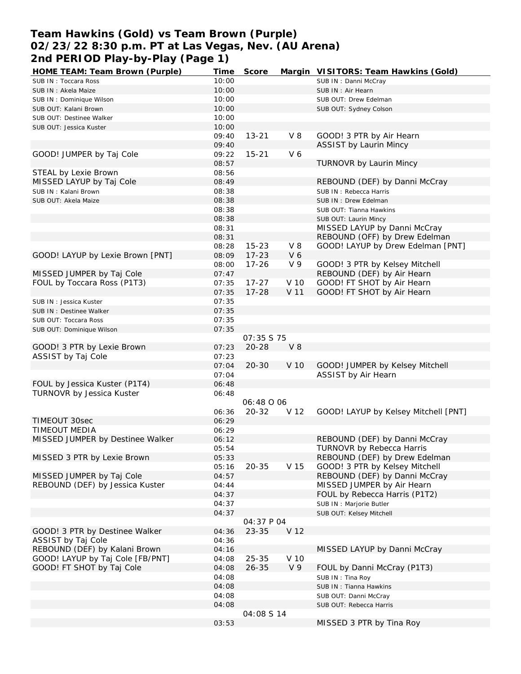## **Team Hawkins (Gold) vs Team Brown (Purple) 02/23/22 8:30 p.m. PT at Las Vegas, Nev. (AU Arena) 2nd PERIOD Play-by-Play (Page 1)**

| HOME TEAM: Team Brown (Purple)   | Time  | Score      |                | Margin VISITORS: Team Hawkins (Gold) |
|----------------------------------|-------|------------|----------------|--------------------------------------|
| SUB IN: Toccara Ross             | 10:00 |            |                | SUB IN: Danni McCray                 |
| SUB IN: Akela Maize              | 10:00 |            |                | SUB IN: Air Hearn                    |
| SUB IN: Dominique Wilson         | 10:00 |            |                | SUB OUT: Drew Edelman                |
| SUB OUT: Kalani Brown            | 10:00 |            |                | SUB OUT: Sydney Colson               |
| SUB OUT: Destinee Walker         | 10:00 |            |                |                                      |
| SUB OUT: Jessica Kuster          | 10:00 |            |                |                                      |
|                                  | 09:40 | $13 - 21$  | $V_8$          | GOOD! 3 PTR by Air Hearn             |
|                                  | 09:40 |            |                |                                      |
|                                  |       |            |                | ASSIST by Laurin Mincy               |
| GOOD! JUMPER by Taj Cole         | 09:22 | $15 - 21$  | V6             |                                      |
|                                  | 08:57 |            |                | TURNOVR by Laurin Mincy              |
| STEAL by Lexie Brown             | 08:56 |            |                |                                      |
| MISSED LAYUP by Taj Cole         | 08:49 |            |                | REBOUND (DEF) by Danni McCray        |
| SUB IN: Kalani Brown             | 08:38 |            |                | SUB IN: Rebecca Harris               |
| SUB OUT: Akela Maize             | 08:38 |            |                | SUB IN: Drew Edelman                 |
|                                  | 08:38 |            |                | SUB OUT: Tianna Hawkins              |
|                                  | 08:38 |            |                | SUB OUT: Laurin Mincy                |
|                                  | 08:31 |            |                | MISSED LAYUP by Danni McCray         |
|                                  | 08:31 |            |                | REBOUND (OFF) by Drew Edelman        |
|                                  | 08:28 | $15 - 23$  | V8             | GOOD! LAYUP by Drew Edelman [PNT]    |
|                                  | 08:09 |            |                |                                      |
| GOOD! LAYUP by Lexie Brown [PNT] |       | $17 - 23$  | V6             |                                      |
|                                  | 08:00 | $17 - 26$  | V 9            | GOOD! 3 PTR by Kelsey Mitchell       |
| MISSED JUMPER by Taj Cole        | 07:47 |            |                | REBOUND (DEF) by Air Hearn           |
| FOUL by Toccara Ross (P1T3)      | 07:35 | $17 - 27$  | V 10           | GOOD! FT SHOT by Air Hearn           |
|                                  | 07:35 | $17 - 28$  | V 11           | GOOD! FT SHOT by Air Hearn           |
| SUB IN: Jessica Kuster           | 07:35 |            |                |                                      |
| SUB IN : Destinee Walker         | 07:35 |            |                |                                      |
| SUB OUT: Toccara Ross            | 07:35 |            |                |                                      |
| SUB OUT: Dominique Wilson        | 07:35 |            |                |                                      |
|                                  |       | O7:35 S 75 |                |                                      |
| GOOD! 3 PTR by Lexie Brown       | 07:23 | $20 - 28$  | $V_8$          |                                      |
| ASSIST by Taj Cole               | 07:23 |            |                |                                      |
|                                  | 07:04 | $20 - 30$  | V 10           | GOOD! JUMPER by Kelsey Mitchell      |
|                                  |       |            |                |                                      |
|                                  | 07:04 |            |                | ASSIST by Air Hearn                  |
| FOUL by Jessica Kuster (P1T4)    | 06:48 |            |                |                                      |
| TURNOVR by Jessica Kuster        | 06:48 |            |                |                                      |
|                                  |       | 06:48 O 06 |                |                                      |
|                                  | 06:36 | $20 - 32$  | V 12           | GOOD! LAYUP by Kelsey Mitchell [PNT] |
| TIMEOUT 30sec                    | 06:29 |            |                |                                      |
| TIMEOUT MEDIA                    | 06:29 |            |                |                                      |
| MISSED JUMPER by Destinee Walker | 06:12 |            |                | REBOUND (DEF) by Danni McCray        |
|                                  | 05:54 |            |                | TURNOVR by Rebecca Harris            |
| MISSED 3 PTR by Lexie Brown      | 05:33 |            |                | REBOUND (DEF) by Drew Edelman        |
|                                  | 05:16 | $20 - 35$  | V 15           | GOOD! 3 PTR by Kelsey Mitchell       |
| MISSED JUMPER by Taj Cole        | 04:57 |            |                | REBOUND (DEF) by Danni McCray        |
|                                  |       |            |                |                                      |
| REBOUND (DEF) by Jessica Kuster  | 04:44 |            |                | MISSED JUMPER by Air Hearn           |
|                                  | 04:37 |            |                | FOUL by Rebecca Harris (P1T2)        |
|                                  | 04:37 |            |                | SUB IN : Marjorie Butler             |
|                                  | 04:37 |            |                | SUB OUT: Kelsey Mitchell             |
|                                  |       | 04:37 P 04 |                |                                      |
| GOOD! 3 PTR by Destinee Walker   | 04:36 | $23 - 35$  | V 12           |                                      |
| ASSIST by Taj Cole               | 04:36 |            |                |                                      |
| REBOUND (DEF) by Kalani Brown    | 04:16 |            |                | MISSED LAYUP by Danni McCray         |
| GOOD! LAYUP by Taj Cole [FB/PNT] | 04:08 | $25 - 35$  | V 10           |                                      |
| GOOD! FT SHOT by Taj Cole        | 04:08 | $26 - 35$  | V <sub>9</sub> | FOUL by Danni McCray (P1T3)          |
|                                  | 04:08 |            |                | SUB IN: Tina Roy                     |
|                                  | 04:08 |            |                | SUB IN: Tianna Hawkins               |
|                                  |       |            |                |                                      |
|                                  | 04:08 |            |                | SUB OUT: Danni McCray                |
|                                  | 04:08 |            |                | SUB OUT: Rebecca Harris              |
|                                  |       | 04:08 S 14 |                |                                      |
|                                  | 03:53 |            |                | MISSED 3 PTR by Tina Roy             |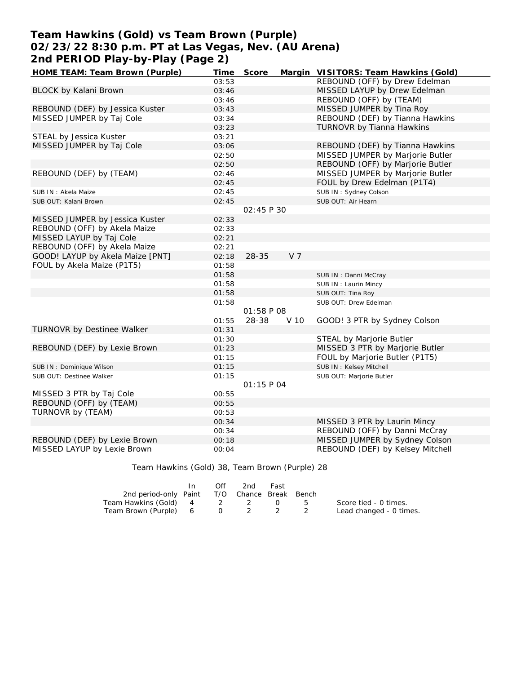## **Team Hawkins (Gold) vs Team Brown (Purple) 02/23/22 8:30 p.m. PT at Las Vegas, Nev. (AU Arena) 2nd PERIOD Play-by-Play (Page 2)**

| HOME TEAM: Team Brown (Purple)   | Time  | Score             | Margin         | VISITORS: Team Hawkins (Gold)    |
|----------------------------------|-------|-------------------|----------------|----------------------------------|
|                                  | 03:53 |                   |                | REBOUND (OFF) by Drew Edelman    |
| BLOCK by Kalani Brown            | 03:46 |                   |                | MISSED LAYUP by Drew Edelman     |
|                                  | 03:46 |                   |                | REBOUND (OFF) by (TEAM)          |
| REBOUND (DEF) by Jessica Kuster  | 03:43 |                   |                | MISSED JUMPER by Tina Roy        |
| MISSED JUMPER by Taj Cole        | 03:34 |                   |                | REBOUND (DEF) by Tianna Hawkins  |
|                                  | 03:23 |                   |                | TURNOVR by Tianna Hawkins        |
| STEAL by Jessica Kuster          | 03:21 |                   |                |                                  |
| MISSED JUMPER by Taj Cole        | 03:06 |                   |                | REBOUND (DEF) by Tianna Hawkins  |
|                                  | 02:50 |                   |                | MISSED JUMPER by Marjorie Butler |
|                                  | 02:50 |                   |                | REBOUND (OFF) by Marjorie Butler |
| REBOUND (DEF) by (TEAM)          | 02:46 |                   |                | MISSED JUMPER by Marjorie Butler |
|                                  | 02:45 |                   |                | FOUL by Drew Edelman (P1T4)      |
| SUB IN: Akela Maize              | 02:45 |                   |                | SUB IN: Sydney Colson            |
| SUB OUT: Kalani Brown            | 02:45 |                   |                | SUB OUT: Air Hearn               |
|                                  |       | 02:45 P 30        |                |                                  |
| MISSED JUMPER by Jessica Kuster  | 02:33 |                   |                |                                  |
| REBOUND (OFF) by Akela Maize     | 02:33 |                   |                |                                  |
| MISSED LAYUP by Taj Cole         | 02:21 |                   |                |                                  |
| REBOUND (OFF) by Akela Maize     | 02:21 |                   |                |                                  |
| GOOD! LAYUP by Akela Maize [PNT] | 02:18 | 28-35             | V <sub>7</sub> |                                  |
| FOUL by Akela Maize (P1T5)       | 01:58 |                   |                |                                  |
|                                  | 01:58 |                   |                | SUB IN: Danni McCray             |
|                                  | 01:58 |                   |                | SUB IN: Laurin Mincy             |
|                                  | 01:58 |                   |                | SUB OUT: Tina Roy                |
|                                  | 01:58 |                   |                | SUB OUT: Drew Edelman            |
|                                  |       | <i>01:58 P 08</i> |                |                                  |
|                                  | 01:55 | 28-38             | V 10           | GOOD! 3 PTR by Sydney Colson     |
| TURNOVR by Destinee Walker       | 01:31 |                   |                |                                  |
|                                  | 01:30 |                   |                | STEAL by Marjorie Butler         |
| REBOUND (DEF) by Lexie Brown     | 01:23 |                   |                | MISSED 3 PTR by Marjorie Butler  |
|                                  | 01:15 |                   |                | FOUL by Marjorie Butler (P1T5)   |
| SUB IN: Dominique Wilson         | 01:15 |                   |                | SUB IN: Kelsey Mitchell          |
| SUB OUT: Destinee Walker         | 01:15 |                   |                | SUB OUT: Marjorie Butler         |
|                                  |       | 01:15 P 04        |                |                                  |
| MISSED 3 PTR by Taj Cole         | 00:55 |                   |                |                                  |
| REBOUND (OFF) by (TEAM)          | 00:55 |                   |                |                                  |
| TURNOVR by (TEAM)                | 00:53 |                   |                |                                  |
|                                  | 00:34 |                   |                | MISSED 3 PTR by Laurin Mincy     |
|                                  | 00:34 |                   |                | REBOUND (OFF) by Danni McCray    |
| REBOUND (DEF) by Lexie Brown     | 00:18 |                   |                | MISSED JUMPER by Sydney Colson   |
| MISSED LAYUP by Lexie Brown      | 00:04 |                   |                | REBOUND (DEF) by Kelsey Mitchell |

Team Hawkins (Gold) 38, Team Brown (Purple) 28

|                                              | In In | Off | 2nd     | Fast |                         |
|----------------------------------------------|-------|-----|---------|------|-------------------------|
| 2nd period-only Paint T/O Chance Break Bench |       |     |         |      |                         |
| Team Hawkins (Gold) 4 2 2 0                  |       |     |         |      | Score tied - 0 times.   |
| Team Brown (Purple) 6                        |       |     | 0 2 2 2 |      | Lead changed - 0 times. |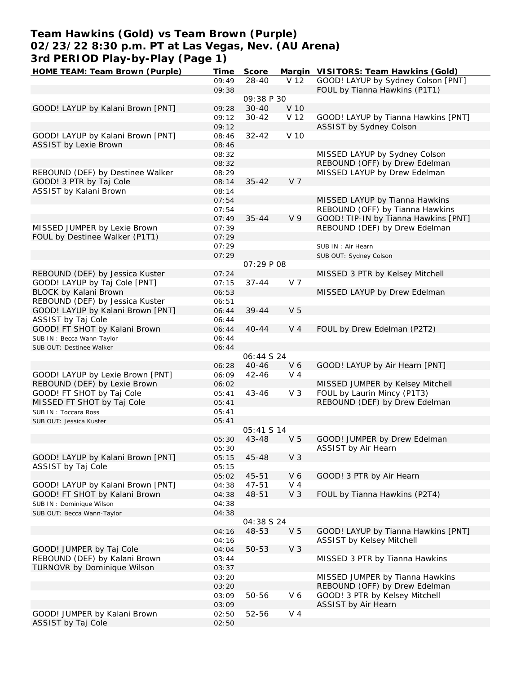## **Team Hawkins (Gold) vs Team Brown (Purple) 02/23/22 8:30 p.m. PT at Las Vegas, Nev. (AU Arena) 3rd PERIOD Play-by-Play (Page 1)**

| HOME TEAM: Team Brown (Purple)    | <b>Time</b> | Score             |                 | Margin VISITORS: Team Hawkins (Gold) |
|-----------------------------------|-------------|-------------------|-----------------|--------------------------------------|
|                                   | 09:49       | $28 - 40$         | V <sub>12</sub> | GOOD! LAYUP by Sydney Colson [PNT]   |
|                                   | 09:38       |                   |                 | FOUL by Tianna Hawkins (P1T1)        |
|                                   |             | 09:38 P 30        |                 |                                      |
| GOOD! LAYUP by Kalani Brown [PNT] | 09:28       | $30 - 40$         | V 10            |                                      |
|                                   | 09:12       | $30 - 42$         | V 12            | GOOD! LAYUP by Tianna Hawkins [PNT]  |
|                                   |             |                   |                 |                                      |
|                                   | 09:12       |                   |                 | ASSIST by Sydney Colson              |
| GOOD! LAYUP by Kalani Brown [PNT] | 08:46       | $32 - 42$         | V 10            |                                      |
| <b>ASSIST by Lexie Brown</b>      | 08:46       |                   |                 |                                      |
|                                   | 08:32       |                   |                 | MISSED LAYUP by Sydney Colson        |
|                                   | 08:32       |                   |                 | REBOUND (OFF) by Drew Edelman        |
| REBOUND (DEF) by Destinee Walker  | 08:29       |                   |                 | MISSED LAYUP by Drew Edelman         |
| GOOD! 3 PTR by Taj Cole           | 08:14       | $35 - 42$         | V <sub>7</sub>  |                                      |
| ASSIST by Kalani Brown            | 08:14       |                   |                 |                                      |
|                                   |             |                   |                 |                                      |
|                                   | 07:54       |                   |                 | MISSED LAYUP by Tianna Hawkins       |
|                                   | 07:54       |                   |                 | REBOUND (OFF) by Tianna Hawkins      |
|                                   | 07:49       | $35 - 44$         | V <sub>9</sub>  | GOOD! TIP-IN by Tianna Hawkins [PNT] |
| MISSED JUMPER by Lexie Brown      | 07:39       |                   |                 | REBOUND (DEF) by Drew Edelman        |
| FOUL by Destinee Walker (P1T1)    | 07:29       |                   |                 |                                      |
|                                   | 07:29       |                   |                 | SUB IN: Air Hearn                    |
|                                   | 07:29       |                   |                 | SUB OUT: Sydney Colson               |
|                                   |             | 07:29 P 08        |                 |                                      |
| REBOUND (DEF) by Jessica Kuster   | 07:24       |                   |                 | MISSED 3 PTR by Kelsey Mitchell      |
|                                   |             |                   |                 |                                      |
| GOOD! LAYUP by Taj Cole [PNT]     | 07:15       | $37 - 44$         | V 7             |                                      |
| BLOCK by Kalani Brown             | 06:53       |                   |                 | MISSED LAYUP by Drew Edelman         |
| REBOUND (DEF) by Jessica Kuster   | 06:51       |                   |                 |                                      |
| GOOD! LAYUP by Kalani Brown [PNT] | 06:44       | $39 - 44$         | V <sub>5</sub>  |                                      |
| ASSIST by Taj Cole                | 06:44       |                   |                 |                                      |
| GOOD! FT SHOT by Kalani Brown     | 06:44       | $40 - 44$         | V <sub>4</sub>  | FOUL by Drew Edelman (P2T2)          |
| SUB IN: Becca Wann-Taylor         | 06:44       |                   |                 |                                      |
| SUB OUT: Destinee Walker          | 06:44       |                   |                 |                                      |
|                                   |             |                   |                 |                                      |
|                                   |             | <i>06:44 S 24</i> |                 |                                      |
|                                   | 06:28       | $40 - 46$         | V6              | GOOD! LAYUP by Air Hearn [PNT]       |
| GOOD! LAYUP by Lexie Brown [PNT]  | 06:09       | $42 - 46$         | V <sub>4</sub>  |                                      |
| REBOUND (DEF) by Lexie Brown      | 06:02       |                   |                 | MISSED JUMPER by Kelsey Mitchell     |
| GOOD! FT SHOT by Taj Cole         | 05:41       | $43 - 46$         | V <sub>3</sub>  | FOUL by Laurin Mincy (P1T3)          |
| MISSED FT SHOT by Taj Cole        | 05:41       |                   |                 | REBOUND (DEF) by Drew Edelman        |
| SUB IN: Toccara Ross              | 05:41       |                   |                 |                                      |
| SUB OUT: Jessica Kuster           | 05:41       |                   |                 |                                      |
|                                   |             | 05:41 S 14        |                 |                                      |
|                                   |             |                   |                 |                                      |
|                                   | 05:30       | 43-48             | V <sub>5</sub>  | GOOD! JUMPER by Drew Edelman         |
|                                   | 05:30       |                   |                 | ASSIST by Air Hearn                  |
| GOOD! LAYUP by Kalani Brown [PNT] | 05:15       | 45-48             | V <sub>3</sub>  |                                      |
| ASSIST by Taj Cole                | 05:15       |                   |                 |                                      |
|                                   | 05:02       | $45 - 51$         | V6              | GOOD! 3 PTR by Air Hearn             |
| GOOD! LAYUP by Kalani Brown [PNT] | 04:38       | $47 - 51$         | $V_4$           |                                      |
| GOOD! FT SHOT by Kalani Brown     | 04:38       | 48-51             | $V_3$           | FOUL by Tianna Hawkins (P2T4)        |
|                                   |             |                   |                 |                                      |
| SUB IN: Dominique Wilson          | 04:38       |                   |                 |                                      |
| SUB OUT: Becca Wann-Taylor        | 04:38       |                   |                 |                                      |
|                                   |             | <i>04:38 S 24</i> |                 |                                      |
|                                   | 04:16       | 48-53             | V <sub>5</sub>  | GOOD! LAYUP by Tianna Hawkins [PNT]  |
|                                   | 04:16       |                   |                 | <b>ASSIST by Kelsey Mitchell</b>     |
| GOOD! JUMPER by Taj Cole          | 04:04       | 50-53             | V <sub>3</sub>  |                                      |
| REBOUND (DEF) by Kalani Brown     | 03:44       |                   |                 | MISSED 3 PTR by Tianna Hawkins       |
| TURNOVR by Dominique Wilson       |             |                   |                 |                                      |
|                                   | 03:37       |                   |                 |                                      |
|                                   | 03:20       |                   |                 | MISSED JUMPER by Tianna Hawkins      |
|                                   | 03:20       |                   |                 | REBOUND (OFF) by Drew Edelman        |
|                                   | 03:09       | 50-56             | V6              | GOOD! 3 PTR by Kelsey Mitchell       |
|                                   | 03:09       |                   |                 | ASSIST by Air Hearn                  |
| GOOD! JUMPER by Kalani Brown      | 02:50       | 52-56             | $V_4$           |                                      |
| ASSIST by Taj Cole                | 02:50       |                   |                 |                                      |
|                                   |             |                   |                 |                                      |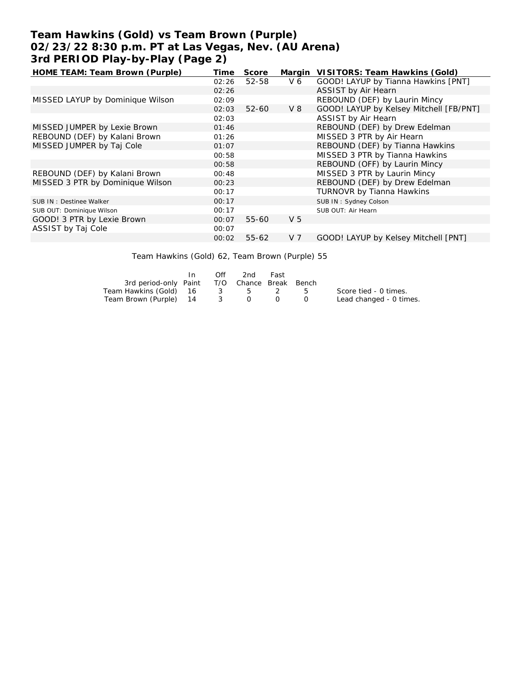# **Team Hawkins (Gold) vs Team Brown (Purple) 02/23/22 8:30 p.m. PT at Las Vegas, Nev. (AU Arena) 3rd PERIOD Play-by-Play (Page 2)**

| HOME TEAM: Team Brown (Purple)   | Time  | Score     | Margin         | VISITORS: Team Hawkins (Gold)           |
|----------------------------------|-------|-----------|----------------|-----------------------------------------|
|                                  | 02:26 | 52-58     | V 6            | GOOD! LAYUP by Tianna Hawkins [PNT]     |
|                                  | 02:26 |           |                | ASSIST by Air Hearn                     |
| MISSED LAYUP by Dominique Wilson | 02:09 |           |                | REBOUND (DEF) by Laurin Mincy           |
|                                  | 02:03 | $52 - 60$ | V 8            | GOOD! LAYUP by Kelsey Mitchell [FB/PNT] |
|                                  | 02:03 |           |                | ASSIST by Air Hearn                     |
| MISSED JUMPER by Lexie Brown     | 01:46 |           |                | REBOUND (DEF) by Drew Edelman           |
| REBOUND (DEF) by Kalani Brown    | 01:26 |           |                | MISSED 3 PTR by Air Hearn               |
| MISSED JUMPER by Taj Cole        | 01:07 |           |                | REBOUND (DEF) by Tianna Hawkins         |
|                                  | 00:58 |           |                | MISSED 3 PTR by Tianna Hawkins          |
|                                  | 00:58 |           |                | REBOUND (OFF) by Laurin Mincy           |
| REBOUND (DEF) by Kalani Brown    | 00:48 |           |                | MISSED 3 PTR by Laurin Mincy            |
| MISSED 3 PTR by Dominique Wilson | 00:23 |           |                | REBOUND (DEF) by Drew Edelman           |
|                                  | 00:17 |           |                | <b>TURNOVR by Tianna Hawkins</b>        |
| SUB IN : Destinee Walker         | 00:17 |           |                | SUB IN: Sydney Colson                   |
| SUB OUT: Dominique Wilson        | 00:17 |           |                | SUB OUT: Air Hearn                      |
| GOOD! 3 PTR by Lexie Brown       | 00:07 | $55 - 60$ | V <sub>5</sub> |                                         |
| ASSIST by Taj Cole               | 00:07 |           |                |                                         |
|                                  | 00:02 | $55 - 62$ | V <sub>7</sub> | GOOD! LAYUP by Kelsey Mitchell [PNT]    |

Team Hawkins (Gold) 62, Team Brown (Purple) 55

|                                              | In | Off | 2nd | Fast |                                               |                         |
|----------------------------------------------|----|-----|-----|------|-----------------------------------------------|-------------------------|
| 3rd period-only Paint T/O Chance Break Bench |    |     |     |      |                                               |                         |
| Team Hawkins (Gold) 16 3 5 2 5               |    |     |     |      |                                               | Score tied - 0 times.   |
| Team Brown (Purple) 14 3 0                   |    |     |     |      | $\left( \begin{array}{c} \end{array} \right)$ | Lead changed - 0 times. |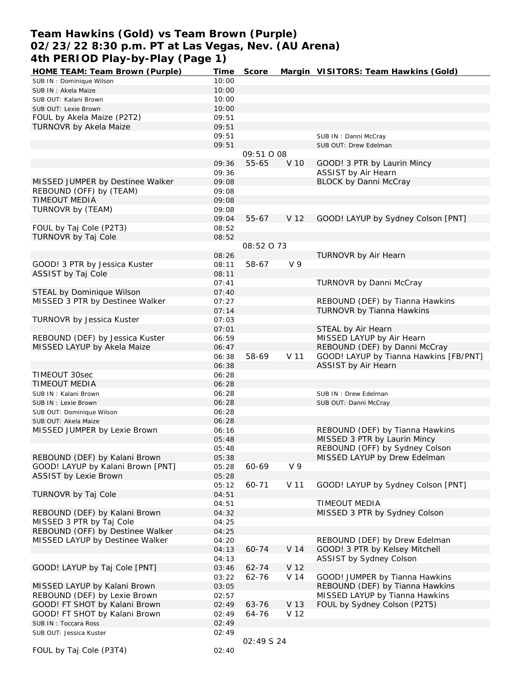### **Team Hawkins (Gold) vs Team Brown (Purple) 02/23/22 8:30 p.m. PT at Las Vegas, Nev. (AU Arena) 4th PERIOD Play-by-Play (Page 1)**

| HOME TEAM: Team Brown (Purple)    | Time  | Score      |                 | Margin VISITORS: Team Hawkins (Gold)   |
|-----------------------------------|-------|------------|-----------------|----------------------------------------|
| SUB IN: Dominique Wilson          | 10:00 |            |                 |                                        |
| SUB IN: Akela Maize               | 10:00 |            |                 |                                        |
| SUB OUT: Kalani Brown             | 10:00 |            |                 |                                        |
| SUB OUT: Lexie Brown              | 10:00 |            |                 |                                        |
| FOUL by Akela Maize (P2T2)        | 09:51 |            |                 |                                        |
| TURNOVR by Akela Maize            | 09:51 |            |                 |                                        |
|                                   | 09:51 |            |                 | SUB IN: Danni McCray                   |
|                                   | 09:51 |            |                 | SUB OUT: Drew Edelman                  |
|                                   |       | 09:51 0 08 |                 |                                        |
|                                   | 09:36 | 55-65      | V 10            | GOOD! 3 PTR by Laurin Mincy            |
|                                   | 09:36 |            |                 | ASSIST by Air Hearn                    |
| MISSED JUMPER by Destinee Walker  | 09:08 |            |                 | <b>BLOCK by Danni McCray</b>           |
| REBOUND (OFF) by (TEAM)           | 09:08 |            |                 |                                        |
| <b>TIMEOUT MEDIA</b>              | 09:08 |            |                 |                                        |
| TURNOVR by (TEAM)                 | 09:08 |            |                 |                                        |
|                                   |       | $55 - 67$  | V 12            |                                        |
|                                   | 09:04 |            |                 | GOOD! LAYUP by Sydney Colson [PNT]     |
| FOUL by Taj Cole (P2T3)           | 08:52 |            |                 |                                        |
| <b>TURNOVR by Taj Cole</b>        | 08:52 |            |                 |                                        |
|                                   |       | 08:52 0 73 |                 |                                        |
|                                   | 08:26 |            |                 | TURNOVR by Air Hearn                   |
| GOOD! 3 PTR by Jessica Kuster     | 08:11 | 58-67      | V <sub>9</sub>  |                                        |
| ASSIST by Taj Cole                | 08:11 |            |                 |                                        |
|                                   | 07:41 |            |                 | TURNOVR by Danni McCray                |
| STEAL by Dominique Wilson         | 07:40 |            |                 |                                        |
| MISSED 3 PTR by Destinee Walker   | 07:27 |            |                 | REBOUND (DEF) by Tianna Hawkins        |
|                                   | 07:14 |            |                 | TURNOVR by Tianna Hawkins              |
| TURNOVR by Jessica Kuster         | 07:03 |            |                 |                                        |
|                                   | 07:01 |            |                 | STEAL by Air Hearn                     |
| REBOUND (DEF) by Jessica Kuster   | 06:59 |            |                 | MISSED LAYUP by Air Hearn              |
| MISSED LAYUP by Akela Maize       | 06:47 |            |                 | REBOUND (DEF) by Danni McCray          |
|                                   | 06:38 | 58-69      | V 11            | GOOD! LAYUP by Tianna Hawkins [FB/PNT] |
|                                   | 06:38 |            |                 | ASSIST by Air Hearn                    |
| TIMEOUT 30sec                     | 06:28 |            |                 |                                        |
| TIMEOUT MEDIA                     | 06:28 |            |                 |                                        |
| SUB IN: Kalani Brown              | 06:28 |            |                 | SUB IN: Drew Edelman                   |
| SUB IN : Lexie Brown              | 06:28 |            |                 | SUB OUT: Danni McCray                  |
| SUB OUT: Dominique Wilson         | 06:28 |            |                 |                                        |
| SUB OUT: Akela Maize              | 06:28 |            |                 |                                        |
| MISSED JUMPER by Lexie Brown      | 06:16 |            |                 | REBOUND (DEF) by Tianna Hawkins        |
|                                   | 05:48 |            |                 | MISSED 3 PTR by Laurin Mincy           |
|                                   | 05:48 |            |                 | REBOUND (OFF) by Sydney Colson         |
| REBOUND (DEF) by Kalani Brown     | 05:38 |            |                 | MISSED LAYUP by Drew Edelman           |
| GOOD! LAYUP by Kalani Brown [PNT] |       | 60-69      | V <sub>9</sub>  |                                        |
|                                   | 05:28 |            |                 |                                        |
| <b>ASSIST by Lexie Brown</b>      | 05:28 |            |                 |                                        |
|                                   | 05:12 | 60-71      | V 11            | GOOD! LAYUP by Sydney Colson [PNT]     |
| TURNOVR by Taj Cole               | 04:51 |            |                 |                                        |
|                                   | 04:51 |            |                 | TIMEOUT MEDIA                          |
| REBOUND (DEF) by Kalani Brown     | 04:32 |            |                 | MISSED 3 PTR by Sydney Colson          |
| MISSED 3 PTR by Taj Cole          | 04:25 |            |                 |                                        |
| REBOUND (OFF) by Destinee Walker  | 04:25 |            |                 |                                        |
| MISSED LAYUP by Destinee Walker   | 04:20 |            |                 | REBOUND (DEF) by Drew Edelman          |
|                                   | 04:13 | 60-74      | V <sub>14</sub> | GOOD! 3 PTR by Kelsey Mitchell         |
|                                   | 04:13 |            |                 | ASSIST by Sydney Colson                |
| GOOD! LAYUP by Taj Cole [PNT]     | 03:46 | 62-74      | V 12            |                                        |
|                                   | 03:22 | 62-76      | V 14            | GOOD! JUMPER by Tianna Hawkins         |
| MISSED LAYUP by Kalani Brown      | 03:05 |            |                 | REBOUND (DEF) by Tianna Hawkins        |
| REBOUND (DEF) by Lexie Brown      | 02:57 |            |                 | MISSED LAYUP by Tianna Hawkins         |
| GOOD! FT SHOT by Kalani Brown     | 02:49 | 63-76      | V 13            | FOUL by Sydney Colson (P2T5)           |
| GOOD! FT SHOT by Kalani Brown     | 02:49 | 64-76      | V 12            |                                        |
| SUB IN: Toccara Ross              | 02:49 |            |                 |                                        |
| SUB OUT: Jessica Kuster           | 02:49 |            |                 |                                        |
|                                   |       | 02:49 S 24 |                 |                                        |
| FOUL by Taj Cole (P3T4)           | 02:40 |            |                 |                                        |
|                                   |       |            |                 |                                        |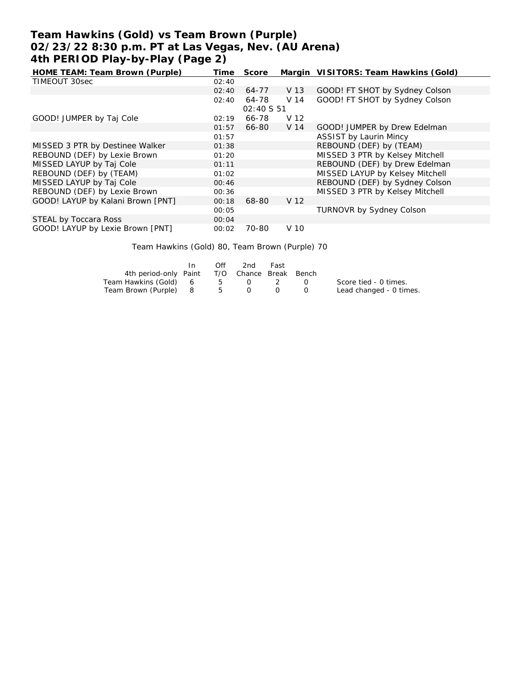## **Team Hawkins (Gold) vs Team Brown (Purple) 02/23/22 8:30 p.m. PT at Las Vegas, Nev. (AU Arena) 4th PERIOD Play-by-Play (Page 2)**

| HOME TEAM: Team Brown (Purple)    | Time  | Score       |      | Margin VISITORS: Team Hawkins (Gold) |
|-----------------------------------|-------|-------------|------|--------------------------------------|
| TIMEOUT 30sec                     | 02:40 |             |      |                                      |
|                                   | 02:40 | 64-77       | V 13 | GOOD! FT SHOT by Sydney Colson       |
|                                   | 02:40 | 64-78       | V 14 | GOOD! FT SHOT by Sydney Colson       |
|                                   |       | 02:40 \$ 51 |      |                                      |
| GOOD! JUMPER by Taj Cole          | 02:19 | 66-78       | V 12 |                                      |
|                                   | 01:57 | 66-80       | V 14 | GOOD! JUMPER by Drew Edelman         |
|                                   | 01:57 |             |      | <b>ASSIST by Laurin Mincy</b>        |
| MISSED 3 PTR by Destinee Walker   | 01:38 |             |      | REBOUND (DEF) by (TEAM)              |
| REBOUND (DEF) by Lexie Brown      | 01:20 |             |      | MISSED 3 PTR by Kelsey Mitchell      |
| MISSED LAYUP by Taj Cole          | 01:11 |             |      | REBOUND (DEF) by Drew Edelman        |
| REBOUND (DEF) by (TEAM)           | 01:02 |             |      | MISSED LAYUP by Kelsey Mitchell      |
| MISSED LAYUP by Taj Cole          | 00:46 |             |      | REBOUND (DEF) by Sydney Colson       |
| REBOUND (DEF) by Lexie Brown      | 00:36 |             |      | MISSED 3 PTR by Kelsey Mitchell      |
| GOOD! LAYUP by Kalani Brown [PNT] | 00:18 | 68-80       | V 12 |                                      |
|                                   | 00:05 |             |      | TURNOVR by Sydney Colson             |
| STEAL by Toccara Ross             | 00:04 |             |      |                                      |
| GOOD! LAYUP by Lexie Brown [PNT]  | 00:02 | 70-80       | V 10 |                                      |

Team Hawkins (Gold) 80, Team Brown (Purple) 70

|                                              | In. | Off | 2nd     | Fast |                                               |                         |
|----------------------------------------------|-----|-----|---------|------|-----------------------------------------------|-------------------------|
| 4th period-only Paint T/O Chance Break Bench |     |     |         |      |                                               |                         |
| Team Hawkins (Gold) 6                        |     |     | 5 0 2 0 |      |                                               | Score tied - 0 times.   |
| Team Brown (Purple) 8 5 0 0                  |     |     |         |      | $\left( \begin{array}{c} \end{array} \right)$ | Lead changed - 0 times. |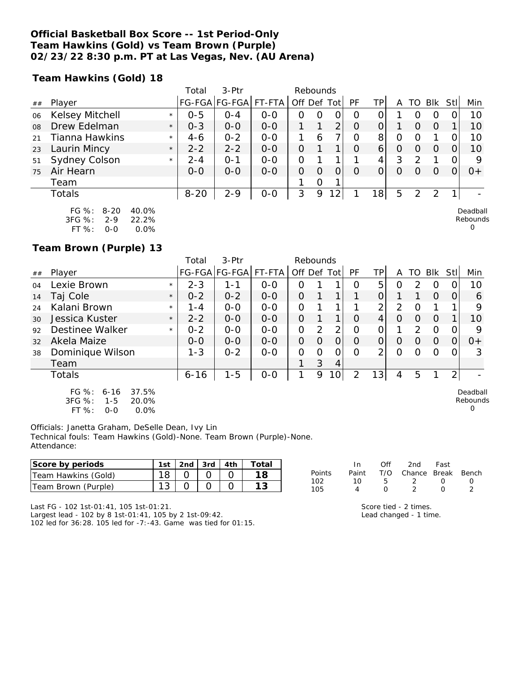#### **Official Basketball Box Score -- 1st Period-Only Team Hawkins (Gold) vs Team Brown (Purple) 02/23/22 8:30 p.m. PT at Las Vegas, Nev. (AU Arena)**

**Team Hawkins (Gold) 18**

|    |                        |         | 3-Ptr<br>Rebounds<br>Total |         |         |                  |          |                |          |                 |         |     |          |     |                          |
|----|------------------------|---------|----------------------------|---------|---------|------------------|----------|----------------|----------|-----------------|---------|-----|----------|-----|--------------------------|
| ## | Player                 |         | <b>FG-FGA</b>              | FG-FGA  | FT-FTA  | Off Def Tot      |          |                | PF       | TPI             | A       | TO. | Blk      | Stl | Min                      |
| 06 | <b>Kelsey Mitchell</b> | $\star$ | $0 - 5$                    | $O - 4$ | $0 - 0$ | $\left( \right)$ |          | O              | ∩        |                 |         |     |          |     | 10                       |
| 08 | Drew Edelman           | $\star$ | $0 - 3$                    | $O-O$   | $0 - 0$ |                  |          | 2              | $\Omega$ | $\overline{O}$  |         |     | $\Omega$ |     | 10                       |
| 21 | Tianna Hawkins         | $\star$ | $4 - 6$                    | $0 - 2$ | $0 - 0$ |                  | 6        |                | $\Omega$ | 8               | $\circ$ |     |          |     | 10                       |
| 23 | Laurin Mincy           | $\star$ | $2 - 2$                    | $2 - 2$ | $0-0$   | $\Omega$         |          |                | $\Omega$ | $6 \mid$        | O       |     | $\left($ | 0   | 10                       |
| 51 | Sydney Colson          | $\star$ | $2 - 4$                    | $O - 1$ | $0 - 0$ | O                |          |                |          | $\overline{4}$  | 3       | っ   |          | 0   | 9                        |
| 75 | Air Hearn              |         | $0 - 0$                    | $0 - 0$ | $0 - 0$ | O                | $\Omega$ |                | $\Omega$ | $\Omega_1$      |         |     | $\Omega$ |     | $0+$                     |
|    | Team                   |         |                            |         |         |                  | $\Omega$ | ◀              |          |                 |         |     |          |     |                          |
|    | <b>Totals</b>          |         | $8 - 20$                   | $2 - 9$ | $0-0$   | 3                | 9        | $\overline{2}$ |          | 18 <sub>l</sub> | 5       | 2   | 2        |     | $\overline{\phantom{0}}$ |
|    | $FG \%$ :<br>8-20      | 40.0%   |                            |         |         |                  |          |                |          |                 |         |     |          |     | Deadball                 |

Rebounds  $\Omega$ 

 $\Omega$ 

3FG %: 2-9 22.2%

FT %: 0-0 0.0%

**Team Brown (Purple) 13**

|        |                                                         |         | Total    | 3-Ptr                | Rebounds |         |                |                |          |    |   |               |                |     |                      |
|--------|---------------------------------------------------------|---------|----------|----------------------|----------|---------|----------------|----------------|----------|----|---|---------------|----------------|-----|----------------------|
| $\#\#$ | Player                                                  |         |          | FG-FGA FG-FGA FT-FTA |          | Off Def |                | Totl           | PF       | ТP | Α | TO            | <b>Blk</b>     | Stl | Min                  |
| 04     | Lexie Brown                                             | $\star$ | $2 - 3$  | 1-1                  | $0 - 0$  | Ο       |                |                | Ω        | 5  | O | $\mathcal{P}$ | O              |     | 10                   |
| 14     | Taj Cole                                                | $\star$ | $0 - 2$  | $0 - 2$              | $0 - 0$  | 0       |                |                |          |    |   |               | $\Omega$       | 0   | 6                    |
| 24     | Kalani Brown                                            | $\star$ | $1 - 4$  | $0 - 0$              | $0 - 0$  | 0       |                |                |          | ⌒  | 2 | Ω             |                |     | 9                    |
| 30     | Jessica Kuster                                          | $\star$ | $2 - 2$  | $0 - 0$              | $0 - 0$  | 0       |                | 1              | Ο        | 4  | 0 | O             | $\Omega$       |     | 10                   |
| 92     | Destinee Walker                                         | $\star$ | $0 - 2$  | $O-O$                | $O-O$    | 0       | $\overline{2}$ | $\overline{2}$ | 0        |    | 1 | 2             | $\overline{0}$ |     | 9                    |
| 32     | Akela Maize                                             |         | $0 - 0$  | $0 - 0$              | $0 - 0$  | 0       | $\Omega$       | O              | $\Omega$ | O  | 0 | $\Omega$      | $\Omega$       | 0   | $0+$                 |
| 38     | Dominique Wilson                                        |         | $1 - 3$  | $0 - 2$              | $0 - 0$  | 0       | O              | 0              | $\Omega$ | っ  | Ω | ∩             | $\Omega$       | O   | 3                    |
|        | Team                                                    |         |          |                      |          |         | 3              | 4              |          |    |   |               |                |     |                      |
|        | <b>Totals</b>                                           |         | $6 - 16$ | $1 - 5$              | $0-0$    | 1       | 9              | 10             | ⌒        | 13 | 4 | 5             |                | っ   |                      |
|        | FG $%$ :<br>37.5%<br>$6 - 16$<br>3FG %:<br>20.0%<br>1-5 |         |          |                      |          |         |                |                |          |    |   |               |                |     | Deadball<br>Rebounds |

3FG %: 1-5 20.0%

FT %: 0-0 0.0%

Officials: Janetta Graham, DeSelle Dean, Ivy Lin Technical fouls: Team Hawkins (Gold)-None. Team Brown (Purple)-None. Attendance:

| Score by periods    | 1st      | 2nd | 3rd | 4th | Total |            |       |     | 2nd    | Fast  |       |
|---------------------|----------|-----|-----|-----|-------|------------|-------|-----|--------|-------|-------|
| Team Hawkins (Gold) |          |     |     |     |       | Points     | Paint | T/C | Chance | Break | Bench |
| Team Brown (Purple) | $\Omega$ |     |     |     |       | 102<br>105 |       |     |        |       |       |

Last FG - 102 1st-01:41, 105 1st-01:21.

Largest lead - 102 by 8 1st-01:41, 105 by 2 1st-09:42. 102 led for 36:28. 105 led for -7:-43. Game was tied for 01:15. Score tied - 2 times. Lead changed - 1 time.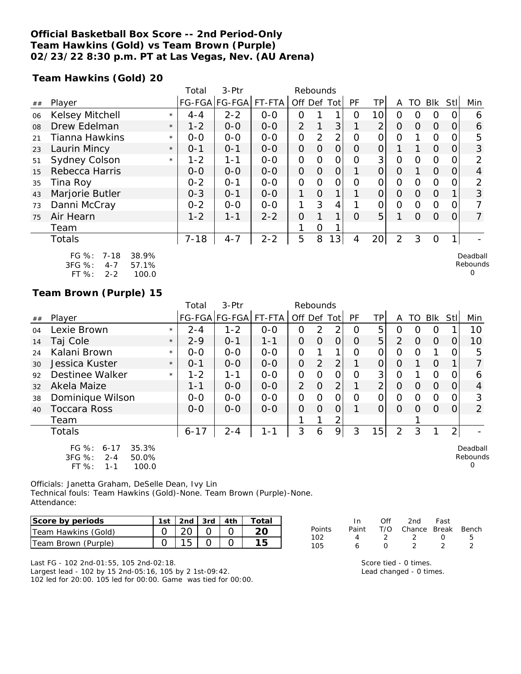### **Official Basketball Box Score -- 2nd Period-Only Team Hawkins (Gold) vs Team Brown (Purple) 02/23/22 8:30 p.m. PT at Las Vegas, Nev. (AU Arena)**

**Team Hawkins (Gold) 20**

|    |                                                            |                         | Total    | 3-Ptr<br>Rebounds |         |                |                |                |           |                 |                |                |               |          |                                  |
|----|------------------------------------------------------------|-------------------------|----------|-------------------|---------|----------------|----------------|----------------|-----------|-----------------|----------------|----------------|---------------|----------|----------------------------------|
| ## | Player                                                     |                         |          | FG-FGA FG-FGA     | FT-FTA  | Off Def Tot    |                |                | <b>PF</b> | ΤP              | A              |                | TO BIK        | Stl      | Min                              |
| 06 | <b>Kelsey Mitchell</b>                                     | $\star$                 | $4 - 4$  | $2 - 2$           | $0-0$   | Ο              |                |                | 0         | 10              | 0              | 0              | O             |          | 6                                |
| 08 | Drew Edelman                                               | $\star$                 | $1 - 2$  | $O-O$             | $0-0$   | $\overline{2}$ | 1              | 3 <sup>1</sup> |           | $\overline{2}$  | $\Omega$       | $\Omega$       | $\Omega$      | $\Omega$ | 6                                |
| 21 | Tianna Hawkins                                             | $\star$                 | $O-O$    | $0-0$             | $O-O$   | 0              | $\overline{2}$ | $\overline{2}$ | 0         | 0               | 0              |                | $\Omega$      |          | 5                                |
| 23 | Laurin Mincy                                               | $\star$                 | $0 - 1$  | $O - 1$           | $0-0$   | $\overline{O}$ | $\overline{O}$ | $\overline{O}$ | $\Omega$  | $\mathbf 0$     |                |                | $\Omega$      | 0        | 3                                |
| 51 | Sydney Colson                                              | $\star$                 | $1 - 2$  | $1 - 1$           | $0-0$   | O              | $\Omega$       | 0              | 0         | 3               | $\Omega$       | $\Omega$       | $\Omega$      |          | 2                                |
| 15 | Rebecca Harris                                             |                         | $0 - 0$  | $0-0$             | $0-0$   | $\overline{O}$ | $\overline{O}$ | $\overline{O}$ |           | 0               | $\Omega$       |                | $\Omega$      | $\Omega$ | $\overline{4}$                   |
| 35 | Tina Roy                                                   |                         | $0 - 2$  | $0 - 1$           | $O-O$   | $\overline{O}$ | $\Omega$       | 0              | O         | 0               | $\mathbf{O}$   | $\Omega$       | $\mathcal{O}$ | O        | 2                                |
| 43 | Marjorie Butler                                            |                         | $0 - 3$  | $0 - 1$           | $O-O$   | 1              | $\Omega$       | $\mathbf{1}$   |           | 0               | $\overline{O}$ | $\Omega$       | $\Omega$      |          | 3                                |
| 73 | Danni McCray                                               |                         | $0 - 2$  | $0-0$             | $0-0$   | 1              | 3              | 4              |           | 0               | $\Omega$       | $\overline{0}$ | $\Omega$      | O        |                                  |
| 75 | Air Hearn                                                  |                         | $1 - 2$  | $1 - 1$           | $2 - 2$ | $\Omega$       | 1              | 1              | $\Omega$  | 5               | 1              | $\Omega$       | $\Omega$      | $\Omega$ | $\overline{7}$                   |
|    | Team                                                       |                         |          |                   |         |                | 0              |                |           |                 |                |                |               |          |                                  |
|    | Totals                                                     |                         | $7 - 18$ | $4 - 7$           | $2 - 2$ | 5              | 8              | 13             | 4         | 20 <sub>l</sub> | $\overline{2}$ | 3              | $\Omega$      |          |                                  |
|    | FG %:<br>$7 - 18$<br>3FG %:<br>$4 - 7$<br>FT %:<br>$2 - 2$ | 38.9%<br>57.1%<br>100.0 |          |                   |         |                |                |                |           |                 |                |                |               |          | Deadball<br>Rebounds<br>$\Omega$ |

### **Team Brown (Purple) 15**

|    |                                                                                           |         | Total    | 3-Ptr         | Rebounds |                |                |                |    |                |                |          |          |      |                           |
|----|-------------------------------------------------------------------------------------------|---------|----------|---------------|----------|----------------|----------------|----------------|----|----------------|----------------|----------|----------|------|---------------------------|
| ## | Player                                                                                    |         |          | FG-FGA FG-FGA | FT-FTA   | Off Def Tot    |                |                | PF | ΤP             | A              | TO       | Blk      | Stll | Min                       |
| 04 | Lexie Brown                                                                               | $\star$ | $2 - 4$  | $1 - 2$       | $0-0$    | 0              | 2              | ∍              | 0  | 5              | Ω              | $\Omega$ | $\Omega$ |      | 10                        |
| 14 | Taj Cole                                                                                  | $\star$ | $2 - 9$  | $O - 1$       | $1 - 1$  | O              | $\Omega$       | 0              | 0  | 5              | $\overline{2}$ | $\Omega$ | $\Omega$ |      | 10                        |
| 24 | Kalani Brown                                                                              | $\star$ | $0 - 0$  | $0 - 0$       | $O - O$  | O              |                | 1              | Ω  | 0              | 0              | $\Omega$ |          |      | 5                         |
| 30 | Jessica Kuster                                                                            | $\star$ | $0 - 1$  | $0 - 0$       | $0 - 0$  | $\overline{O}$ | $\overline{2}$ | $\overline{2}$ |    | 0              | O              |          | $\Omega$ |      |                           |
| 92 | Destinee Walker                                                                           | $\star$ | $1 - 2$  | 1-1           | $0-0$    | O              | $\Omega$       | Ω              | Ω  | 3              | 0              |          | $\Omega$ |      | 6                         |
| 32 | Akela Maize                                                                               |         | $1 - 1$  | $0 - 0$       | $0 - 0$  | 2              | $\overline{O}$ | $\overline{2}$ |    | $\overline{2}$ | $\Omega$       | $\Omega$ | $\Omega$ |      | 4                         |
| 38 | Dominique Wilson                                                                          |         | $0 - 0$  | $0 - 0$       | $0 - 0$  | O              | $\Omega$       | $\Omega$       | Ω  | 0              | 0              | $\Omega$ | $\Omega$ |      | 3                         |
| 40 | Toccara Ross                                                                              |         | $0 - 0$  | $0 - 0$       | $0 - 0$  | O              | $\Omega$       | Ο              |    | 0              | $\Omega$       | $\Omega$ | $\Omega$ |      | 2                         |
|    | Team                                                                                      |         |          |               |          | 1              | 1              | 2              |    |                |                |          |          |      |                           |
|    | <b>Totals</b>                                                                             |         | $6 - 17$ | $2 - 4$       | $1 - 1$  | 3              | 6              | 9              | 3  | 15             | $\overline{2}$ | 3        |          | 2    |                           |
|    | $FG \%$ :<br>35.3%<br>$6 - 17$<br>3FG %:<br>50.0%<br>$2 - 4$<br>FT %:<br>100.0<br>$1 - 1$ |         |          |               |          |                |                |                |    |                |                |          |          |      | Deadball<br>Rebounds<br>0 |

Officials: Janetta Graham, DeSelle Dean, Ivy Lin Technical fouls: Team Hawkins (Gold)-None. Team Brown (Purple)-None. Attendance:

| Score by periods    | 1st | $\vert$ 2nd $\vert$ 3rd $\vert$ 4th |  | Total |
|---------------------|-----|-------------------------------------|--|-------|
| Team Hawkins (Gold) |     |                                     |  |       |
| Team Brown (Purple) |     |                                     |  |       |

|  |    | Points     | Paint | T/O Chance Break Bench |  |
|--|----|------------|-------|------------------------|--|
|  | 15 | 102<br>105 |       |                        |  |
|  |    |            |       | Score tied - 0 times.  |  |

mes. Lead changed - 0 times.

In Off 2nd Fast<br>Paint T/O Chance Break

| Last FG - 102 2nd-01:55, 105 2nd-02:18.                        |
|----------------------------------------------------------------|
| Largest lead - 102 by 15 2nd-05:16, 105 by 2 1st-09:42.        |
| 102 led for 20:00, 105 led for 00:00. Game was tied for 00:00. |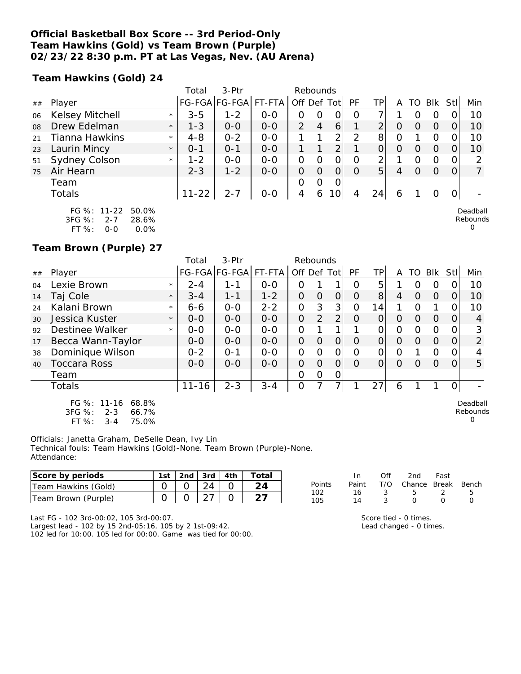#### **Official Basketball Box Score -- 3rd Period-Only Team Hawkins (Gold) vs Team Brown (Purple) 02/23/22 8:30 p.m. PT at Las Vegas, Nev. (AU Arena)**

**Team Hawkins (Gold) 24**

|    |                                                    |         | Total     | 3-Ptr         |         | Rebounds       |   |    |          |                |   |                  |            |          |                      |
|----|----------------------------------------------------|---------|-----------|---------------|---------|----------------|---|----|----------|----------------|---|------------------|------------|----------|----------------------|
| ## | Player                                             |         |           | FG-FGA FG-FGA | FT-FTA  | Off Def Tot    |   |    | PF       | TPI            | Α | TO               | <b>BIK</b> | Stll     | Min                  |
| 06 | Kelsey Mitchell                                    | $\star$ | $3 - 5$   | $1 - 2$       | $0 - 0$ | 0              | 0 | 0  | O        |                |   | $\left( \right)$ | O          |          | 10                   |
| 08 | Drew Edelman                                       | $\star$ | $1 - 3$   | $0 - 0$       | $0 - 0$ | $\mathcal{P}$  | 4 | 6  |          | $\overline{2}$ | O | O                | $\Omega$   |          | 10                   |
| 21 | Tianna Hawkins                                     | $\star$ | $4 - 8$   | $0 - 2$       | $0-0$   |                |   | 2  | 2        | 8              | 0 |                  | O          |          | 10                   |
| 23 | Laurin Mincy                                       | $\star$ | $O - 1$   | $0 - 1$       | $0 - 0$ |                |   | 2  |          | 0              | 0 | O                | $\Omega$   |          | 10                   |
| 51 | Sydney Colson                                      | $\star$ | $1 - 2$   | $0 - 0$       | $0 - 0$ | $\overline{O}$ | 0 | 0  | O        | 2              |   | $\Omega$         | O          | 0        | າ                    |
| 75 | Air Hearn                                          |         | $2 - 3$   | $1 - 2$       | $0 - 0$ | 0              | 0 | 0  | $\Omega$ | 5 <sup>1</sup> | 4 | O                | $\Omega$   | $\Omega$ |                      |
|    | Team                                               |         |           |               |         | 0              | 0 | 0  |          |                |   |                  |            |          |                      |
|    | Totals                                             |         | $11 - 22$ | $2 - 7$       | $0-0$   | 4              | 6 | 10 | 4        | 24             | 6 |                  | O          | O.       |                      |
|    | FG %: 11-22<br>50.0%<br>3FG %:<br>$2 - 7$<br>28.6% |         |           |               |         |                |   |    |          |                |   |                  |            |          | Deadball<br>Rebounds |

FT %: 0-0 0.0%

**Team Brown (Purple) 27**

|                |                                                      |         | Total     | $3-Ptr$              |         | Rebounds       |          |          |          |     |   |          |            |      |                      |
|----------------|------------------------------------------------------|---------|-----------|----------------------|---------|----------------|----------|----------|----------|-----|---|----------|------------|------|----------------------|
| ##             | Player                                               |         |           | FG-FGA FG-FGA FT-FTA |         | Off Def Tot    |          |          | PF       | TP. | A | TO       | <b>BIK</b> | Stll | Min                  |
| O <sub>4</sub> | Lexie Brown                                          | $\star$ | $2 - 4$   | 1-1                  | $0 - 0$ | Ο              |          |          | 0        | 5   |   | ი        | 0          |      | 10                   |
| 14             | Taj Cole                                             | $\star$ | $3 - 4$   | 1-1                  | $1 - 2$ | 0              | $\circ$  | 0        | $\Omega$ | 8   | 4 | Ω        | $\Omega$   | Ο    | 10                   |
| 24             | Kalani Brown                                         | $\star$ | $6 - 6$   | $0 - 0$              | $2 - 2$ | 0              | 3        | 3        | Ω        | 14  |   | 0        |            |      | 10                   |
| 30             | Jessica Kuster                                       | $\star$ | $0 - 0$   | $0 - 0$              | $0 - 0$ | $\overline{O}$ | 2        | 2        | Ο        | 0   | Ο | O        | $\Omega$   | 0    | 4                    |
| 92             | Destinee Walker                                      | $\star$ | $0 - 0$   | $O-O$                | $O-O$   | 0              |          | 1        |          |     | O | $\Omega$ | 0          |      | 3                    |
| 17             | Becca Wann-Taylor                                    |         | $0 - 0$   | $0 - 0$              | $0 - 0$ | $\Omega$       | $\Omega$ | $\Omega$ | O        | O   | O | $\Omega$ | $\Omega$   | 0    | $\overline{2}$       |
| 38             | Dominique Wilson                                     |         | $0 - 2$   | $O - 1$              | $0-0$   | 0              | O        | Ο        | Ω        | 0   | 0 |          | O          |      | 4                    |
| 40             | <b>Toccara Ross</b>                                  |         | $0 - 0$   | $0 - 0$              | $0 - 0$ | 0              | Ω        | Ω        | Ω        |     | Ω | ∩        | $\Omega$   | Ω    | 5                    |
|                | Team                                                 |         |           |                      |         | 0              | 0        | 0        |          |     |   |          |            |      |                      |
|                | <b>Totals</b>                                        |         | $11 - 16$ | $2 - 3$              | $3 - 4$ | 0              |          | 7۱       |          | 27  | 6 |          |            | 0    |                      |
|                | FG %: 11-16<br>68.8%<br>$3FG \%$<br>$2 - 3$<br>66.7% |         |           |                      |         |                |          |          |          |     |   |          |            |      | Deadball<br>Rebounds |

3FG %: 2-3 66.7%

FT  $%: 3-4$ 

Officials: Janetta Graham, DeSelle Dean, Ivy Lin Technical fouls: Team Hawkins (Gold)-None. Team Brown (Purple)-None. Attendance:

| Score by periods       | 1st | 2nd | 3rd | 4th | $\tau$ otal |            |       | Off | 2nd    | Fast  |       |
|------------------------|-----|-----|-----|-----|-------------|------------|-------|-----|--------|-------|-------|
| Team Hawkins (Gold)    |     |     | 24  |     |             | Points     | Paint | T/O | Chance | Break | Bench |
| Team Brown<br>(Purple) |     |     |     |     |             | 102<br>105 |       |     |        |       |       |

Last FG - 102 3rd-00:02, 105 3rd-00:07. Largest lead - 102 by 15 2nd-05:16, 105 by 2 1st-09:42. 102 led for 10:00. 105 led for 00:00. Game was tied for 00:00.

| 14 | $\overline{3}$ | $\Omega$ | $\overline{O}$ | $\overline{\phantom{a}}$ |
|----|----------------|----------|----------------|--------------------------|
| 16 | - 2            | 5        |                | -9                       |

Score tied - 0 times. Lead changed - 0 times.

 $\Omega$ 

0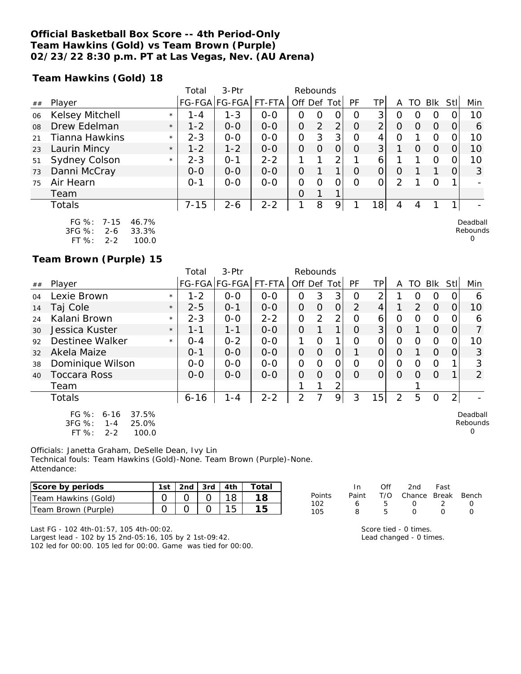#### **Official Basketball Box Score -- 4th Period-Only Team Hawkins (Gold) vs Team Brown (Purple) 02/23/22 8:30 p.m. PT at Las Vegas, Nev. (AU Arena)**

**Team Hawkins (Gold) 18**

|    |                        |         | Total    | $3-Ptr$       |         | Rebounds      |          |                |          |                |               |                  |            |     |                 |
|----|------------------------|---------|----------|---------------|---------|---------------|----------|----------------|----------|----------------|---------------|------------------|------------|-----|-----------------|
| ## | Player                 |         |          | FG-FGA FG-FGA | FT-FTA  | Off Def       |          | Tot            | PF       | TPI            | A             | TO               | <b>BIK</b> | Stl | Min             |
| 06 | Kelsey Mitchell        | $\star$ | $1 - 4$  | $1 - 3$       | $0 - 0$ | 0             | O        | 0              | $\Omega$ | 3              | O             | $\left( \right)$ | O          |     | 10              |
| 08 | Drew Edelman           | $\star$ | $1 - 2$  | $0 - 0$       | $0 - 0$ | $\Omega$      | 2        | $\overline{2}$ | $\Omega$ | 2 <sub>1</sub> | $\Omega$      | $\Omega$         | $\Omega$   | 0   | 6               |
| 21 | Tianna Hawkins         | $\star$ | $2 - 3$  | $0 - 0$       | $0 - 0$ | $\mathcal{O}$ | 3        | 3 <sup>1</sup> | $\Omega$ | 4              | 0             |                  | 0          |     | 10              |
| 23 | Laurin Mincy           | $\star$ | $1 - 2$  | $1 - 2$       | $0 - 0$ | $\Omega$      | $\Omega$ | $\Omega$       | $\Omega$ | 3              |               | 0                | $\Omega$   | 0   | 10 <sup>°</sup> |
| 51 | Sydney Colson          | $\star$ | $2 - 3$  | $O - 1$       | $2 - 2$ |               |          | 2              |          | 6              |               |                  | $\Omega$   | 0   | 10              |
| 73 | Danni McCray           |         | $0 - 0$  | $0 - 0$       | $0 - 0$ | $\Omega$      |          |                | $\Omega$ | $\overline{O}$ | $\Omega$      |                  |            |     | 3               |
| 75 | Air Hearn              |         | $0 - 1$  | $0-0$         | $0-0$   | 0             | $\Omega$ | 0              | $\Omega$ | $\Omega$       | $\mathcal{P}$ |                  | $\Omega$   |     |                 |
|    | Team                   |         |          |               |         | $\Omega$      |          |                |          |                |               |                  |            |     |                 |
|    | Totals                 |         | $7 - 15$ | $2 - 6$       | $2 - 2$ | 1             | 8        | 9              |          | 8              | 4             | 4                |            |     |                 |
|    | FG $\%: 7-15$<br>46.7% |         |          |               |         |               |          |                |          |                |               |                  |            |     | Deadball        |

| FU 70.     | 7 – 10 | 40. <i>I 7</i> 0 |
|------------|--------|------------------|
| $3FG \%$ : | 2-6    | 33.3%            |
| FT%        | 2-2    | 100.0            |

**Team Brown (Purple) 15**

|    |                                                                                          |         | Total    | 3-Ptr                |         | Rebounds       |                |          |           |                |                |                |          |                |                                  |
|----|------------------------------------------------------------------------------------------|---------|----------|----------------------|---------|----------------|----------------|----------|-----------|----------------|----------------|----------------|----------|----------------|----------------------------------|
| ## | Player                                                                                   |         |          | FG-FGA FG-FGA FT-FTA |         | Off Def Tot    |                |          | <b>PF</b> | ΤP             | A              | TO             | Blk      | Stll           | Min                              |
| 04 | Lexie Brown                                                                              | $\star$ | $1 - 2$  | $0 - 0$              | $0 - 0$ | 0              | 3              | 3        | $\Omega$  | 2              |                | 0              | $\Omega$ | 0              | 6                                |
| 14 | Taj Cole                                                                                 | $\star$ | $2 - 5$  | $O - 1$              | $0 - 0$ | $\Omega$       | $\Omega$       | $\Omega$ | 2         | $\overline{4}$ |                | $\overline{2}$ | $\Omega$ | $\overline{O}$ | 10                               |
| 24 | Kalani Brown                                                                             | $\star$ | $2 - 3$  | $0 - 0$              | $2 - 2$ | 0              | 2              | 2        | Ω         | 6              | $\Omega$       | 0              | $\Omega$ | 0              | 6                                |
| 30 | Jessica Kuster                                                                           | $\star$ | 1-1      | $1 - 1$              | $0 - 0$ | $\Omega$       |                |          | $\Omega$  | 3              | $\Omega$       |                | $\Omega$ | $\Omega$       | 7                                |
| 92 | Destinee Walker                                                                          | $\star$ | $0 - 4$  | $0 - 2$              | $0 - 0$ |                | $\Omega$       |          | $\Omega$  | $\Omega$       | $\Omega$       | $\Omega$       | $\Omega$ | 0              | 10                               |
| 32 | Akela Maize                                                                              |         | $0 - 1$  | $O-O$                | $0 - 0$ | 0              | 0              | $\Omega$ |           | $\Omega$       | $\Omega$       |                | $\Omega$ | $\Omega$       | 3                                |
| 38 | Dominique Wilson                                                                         |         | $0-0$    | $0 - 0$              | $0-0$   | 0              | $\Omega$       | 0        | ∩         | O              | $\Omega$       | $\Omega$       | $\Omega$ |                | 3                                |
| 40 | <b>Toccara Ross</b>                                                                      |         | $0 - 0$  | $0 - 0$              | $0 - 0$ | $\Omega$       | $\overline{O}$ | $\Omega$ | $\Omega$  | $\Omega$       | $\Omega$       | $\Omega$       | $\Omega$ |                | 2                                |
|    | Team                                                                                     |         |          |                      |         |                |                |          |           |                |                |                |          |                |                                  |
|    | Totals                                                                                   |         | $6 - 16$ | $1 - 4$              | $2 - 2$ | $\overline{2}$ |                | 9        | 3         | 15             | $\overline{2}$ | 5              | $\Omega$ | $\overline{2}$ |                                  |
|    | 37.5%<br>FG $%$ :<br>$6 - 16$<br>3FG %:<br>25.0%<br>$1 - 4$<br>FT %:<br>100.0<br>$2 - 2$ |         |          |                      |         |                |                |          |           |                |                |                |          |                | Deadball<br>Rebounds<br>$\Omega$ |

Officials: Janetta Graham, DeSelle Dean, Ivy Lin Technical fouls: Team Hawkins (Gold)-None. Team Brown (Purple)-None. Attendance:

| Score by periods    | 1st. | 2nd $\frac{1}{3}$ 3rd $\frac{1}{4}$ 4th | Totai |
|---------------------|------|-----------------------------------------|-------|
| Team Hawkins (Gold) |      |                                         | 18.   |
| Team Brown (Purple) |      |                                         |       |

|        | In    | ∩ff | 2nd                    | Fast             |                  |
|--------|-------|-----|------------------------|------------------|------------------|
| Points | Paint |     | T/O Chance Break Bench |                  |                  |
| 102    | 6     | ь.  | $\sqrt{ }$             | - 2              | $\left( \right)$ |
| 105    | R     | 5   | $\mathbf{I}$           | $\left( \right)$ |                  |

Rebounds 0

Last FG - 102 4th-01:57, 105 4th-00:02.

Largest lead - 102 by 15 2nd-05:16, 105 by 2 1st-09:42. 102 led for 00:00. 105 led for 00:00. Game was tied for 00:00.

| Score tied - 0 times.   |
|-------------------------|
| Lead changed - 0 times. |